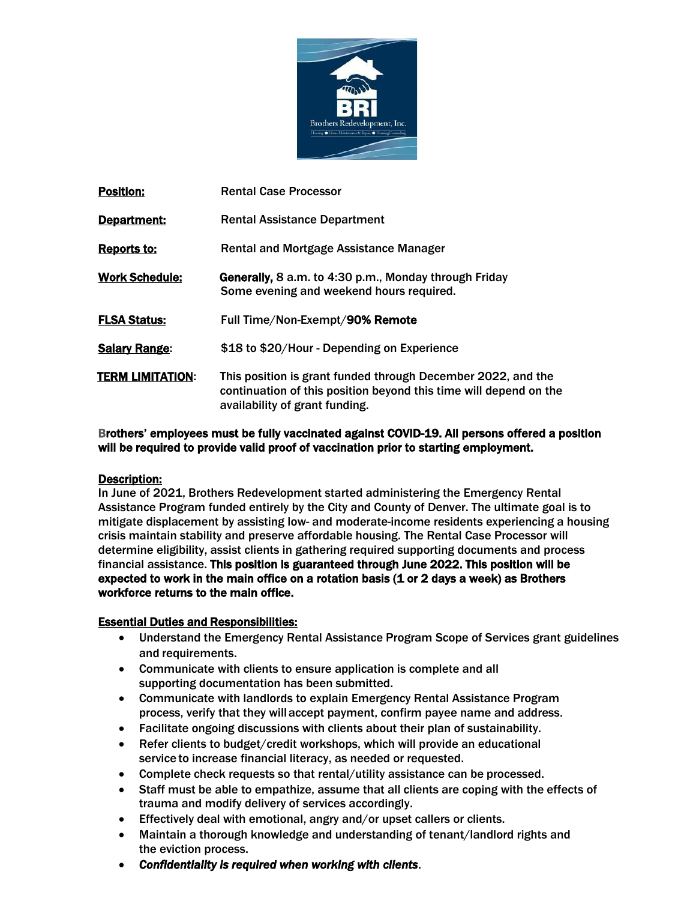

| <b>Position:</b>      | <b>Rental Case Processor</b>                                                                                                                                        |
|-----------------------|---------------------------------------------------------------------------------------------------------------------------------------------------------------------|
| Department:           | <b>Rental Assistance Department</b>                                                                                                                                 |
| <b>Reports to:</b>    | <b>Rental and Mortgage Assistance Manager</b>                                                                                                                       |
| <b>Work Schedule:</b> | Generally, 8 a.m. to 4:30 p.m., Monday through Friday<br>Some evening and weekend hours required.                                                                   |
| <b>FLSA Status:</b>   | Full Time/Non-Exempt/90% Remote                                                                                                                                     |
| <b>Salary Range:</b>  | \$18 to \$20/Hour - Depending on Experience                                                                                                                         |
| TERM LIMITATION:      | This position is grant funded through December 2022, and the<br>continuation of this position beyond this time will depend on the<br>availability of grant funding. |

Brothers' employees must be fully vaccinated against COVID-19. All persons offered a position will be required to provide valid proof of vaccination prior to starting employment.

## Description:

In June of 2021, Brothers Redevelopment started administering the Emergency Rental Assistance Program funded entirely by the City and County of Denver. The ultimate goal is to mitigate displacement by assisting low- and moderate-income residents experiencing a housing crisis maintain stability and preserve affordable housing. The Rental Case Processor will determine eligibility, assist clients in gathering required supporting documents and process financial assistance. This position is guaranteed through June 2022. This position will be expected to work in the main office on a rotation basis (1 or 2 days a week) as Brothers workforce returns to the main office.

## Essential Duties and Responsibilities:

- Understand the Emergency Rental Assistance Program Scope of Services grant guidelines and requirements.
- Communicate with clients to ensure application is complete and all supporting documentation has been submitted.
- Communicate with landlords to explain Emergency Rental Assistance Program process, verify that they willaccept payment, confirm payee name and address.
- Facilitate ongoing discussions with clients about their plan of sustainability.
- Refer clients to budget/credit workshops, which will provide an educational service to increase financial literacy, as needed or requested.
- Complete check requests so that rental/utility assistance can be processed.
- Staff must be able to empathize, assume that all clients are coping with the effects of trauma and modify delivery of services accordingly.
- Effectively deal with emotional, angry and/or upset callers or clients.
- Maintain a thorough knowledge and understanding of tenant/landlord rights and the eviction process.
- *Confidentiality is required when working with clients*.